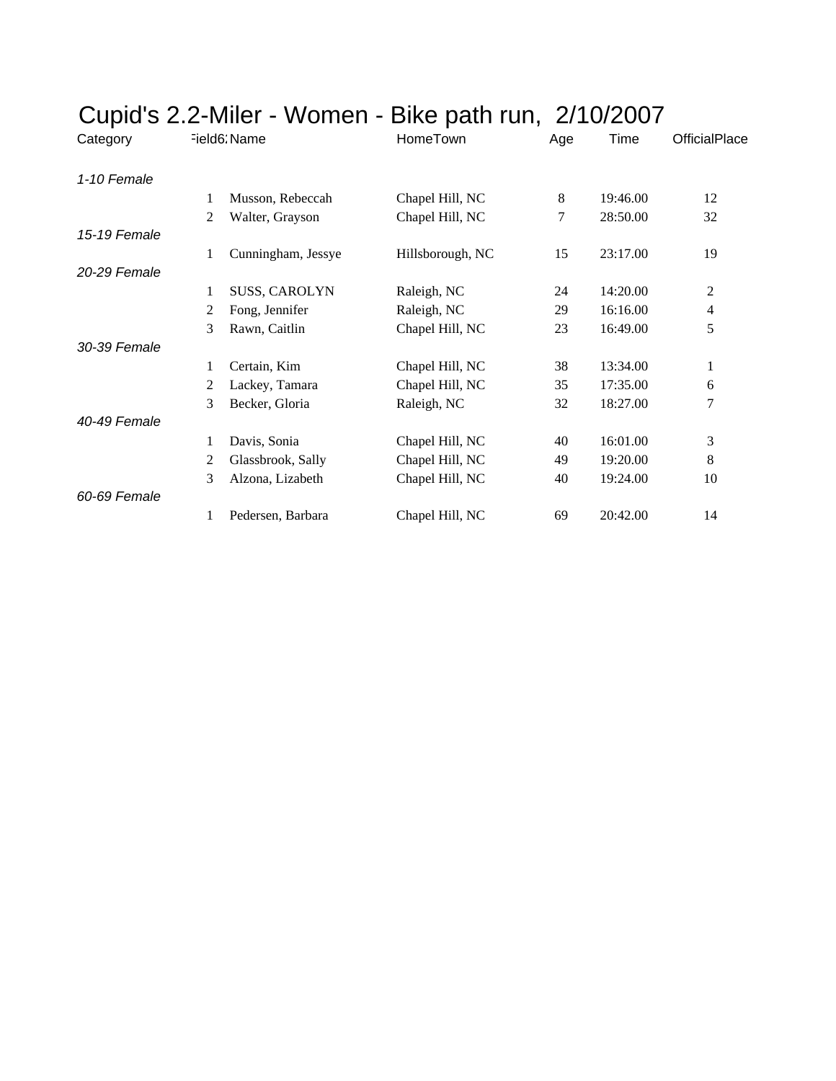| Time<br><b>OfficialPlace</b><br>Age |
|-------------------------------------|
|                                     |
| 8<br>12<br>19:46.00                 |
| 7<br>32<br>28:50.00                 |
|                                     |
| 23:17.00<br>19<br>15                |
|                                     |
| 14:20.00<br>2<br>24                 |
| 29<br>16:16.00<br>4                 |
| 5<br>23<br>16:49.00                 |
|                                     |
| 38<br>13:34.00<br>1                 |
| 35<br>17:35.00<br>6                 |
| 7<br>32<br>18:27.00                 |
|                                     |
| 3<br>16:01.00<br>40                 |
| 8<br>49<br>19:20.00                 |
| 19:24.00<br>10<br>40                |
|                                     |
| 69<br>20:42.00<br>14                |
|                                     |

## Cupid's 2.2-Miler - Women - Bike path run, 2/10/2007